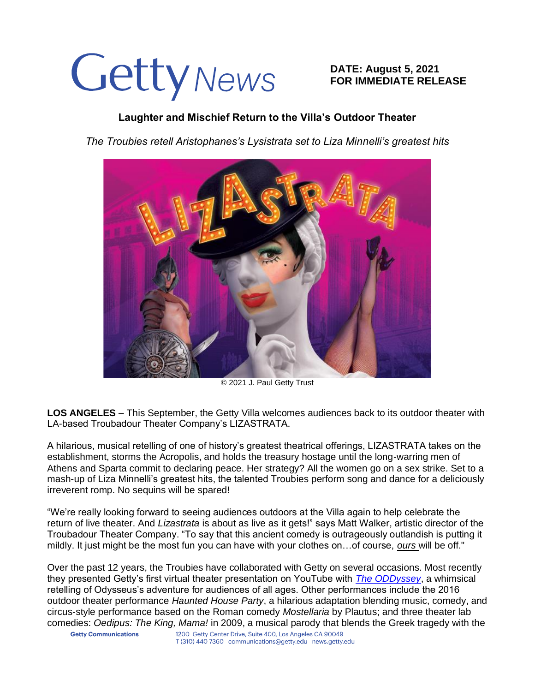# Getty News

**DATE: August 5, 2021 FOR IMMEDIATE RELEASE**

## **Laughter and Mischief Return to the Villa's Outdoor Theater**

*The Troubies retell Aristophanes's Lysistrata set to Liza Minnelli's greatest hits* 



© 2021 J. Paul Getty Trust

**LOS ANGELES** – This September, the Getty Villa welcomes audiences back to its outdoor theater with LA-based Troubadour Theater Company's LIZASTRATA.

A hilarious, musical retelling of one of history's greatest theatrical offerings, LIZASTRATA takes on the establishment, storms the Acropolis, and holds the treasury hostage until the long-warring men of Athens and Sparta commit to declaring peace. Her strategy? All the women go on a sex strike. Set to a mash-up of Liza Minnelli's greatest hits, the talented Troubies perform song and dance for a deliciously irreverent romp. No sequins will be spared!

"We're really looking forward to seeing audiences outdoors at the Villa again to help celebrate the return of live theater. And *Lizastrata* is about as live as it gets!" says Matt Walker, artistic director of the Troubadour Theater Company. "To say that this ancient comedy is outrageously outlandish is putting it mildly. It just might be the most fun you can have with your clothes on…of course, *ours* will be off."

Over the past 12 years, the Troubies have collaborated with Getty on several occasions. Most recently they presented Getty's first virtual theater presentation on YouTube with *[The ODDyssey](https://www.youtube.com/watch?v=2wq0Cj71GGs&list=PLij2XTFgmBSRdh-NwqS5P-Ipr1zBbiLbo)*, a whimsical retelling of Odysseus's adventure for audiences of all ages. Other performances include the 2016 outdoor theater performance *Haunted House Party*, a hilarious adaptation blending music, comedy, and circus-style performance based on the Roman comedy *Mostellaria* by Plautus; and three theater lab comedies: *Oedipus: The King, Mama!* in 2009, a musical parody that blends the Greek tragedy with the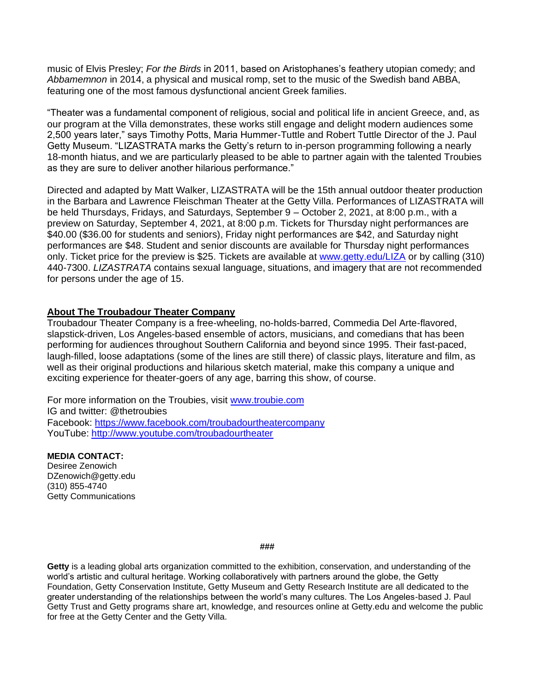music of Elvis Presley; *For the Birds* in 2011, based on Aristophanes's feathery utopian comedy; and *Abbamemnon* in 2014, a physical and musical romp, set to the music of the Swedish band ABBA, featuring one of the most famous dysfunctional ancient Greek families.

"Theater was a fundamental component of religious, social and political life in ancient Greece, and, as our program at the Villa demonstrates, these works still engage and delight modern audiences some 2,500 years later," says Timothy Potts, Maria Hummer-Tuttle and Robert Tuttle Director of the J. Paul Getty Museum. "LIZASTRATA marks the Getty's return to in-person programming following a nearly 18-month hiatus, and we are particularly pleased to be able to partner again with the talented Troubies as they are sure to deliver another hilarious performance."

Directed and adapted by Matt Walker, LIZASTRATA will be the 15th annual outdoor theater production in the Barbara and Lawrence Fleischman Theater at the Getty Villa. Performances of LIZASTRATA will be held Thursdays, Fridays, and Saturdays, September 9 – October 2, 2021, at 8:00 p.m., with a preview on Saturday, September 4, 2021, at 8:00 p.m. Tickets for Thursday night performances are \$40.00 (\$36.00 for students and seniors), Friday night performances are \$42, and Saturday night performances are \$48. Student and senior discounts are available for Thursday night performances only. Ticket price for the preview is \$25. Tickets are available at [www.getty.edu/LIZA](http://www.getty.edu/LIZA) or by calling (310) 440-7300. *LIZASTRATA* contains sexual language, situations, and imagery that are not recommended for persons under the age of 15.

#### **About The Troubadour Theater Company**

Troubadour Theater Company is a free-wheeling, no-holds-barred, Commedia Del Arte-flavored, slapstick-driven, Los Angeles-based ensemble of actors, musicians, and comedians that has been performing for audiences throughout Southern California and beyond since 1995. Their fast-paced, laugh-filled, loose adaptations (some of the lines are still there) of classic plays, literature and film, as well as their original productions and hilarious sketch material, make this company a unique and exciting experience for theater-goers of any age, barring this show, of course.

For more information on the Troubies, visit [www.troubie.com](http://www.troubie.com/) IG and twitter: @thetroubies Facebook: <https://www.facebook.com/troubadourtheatercompany> YouTube:<http://www.youtube.com/troubadourtheater>

### **MEDIA CONTACT:**

Desiree Zenowich DZenowich@getty.edu (310) 855-4740 Getty Communications

#### **###**

**Getty** is a leading global arts organization committed to the exhibition, conservation, and understanding of the world's artistic and cultural heritage. Working collaboratively with partners around the globe, the Getty Foundation, Getty Conservation Institute, Getty Museum and Getty Research Institute are all dedicated to the greater understanding of the relationships between the world's many cultures. The Los Angeles-based J. Paul Getty Trust and Getty programs share art, knowledge, and resources online at Getty.edu and welcome the public for free at the Getty Center and the Getty Villa.